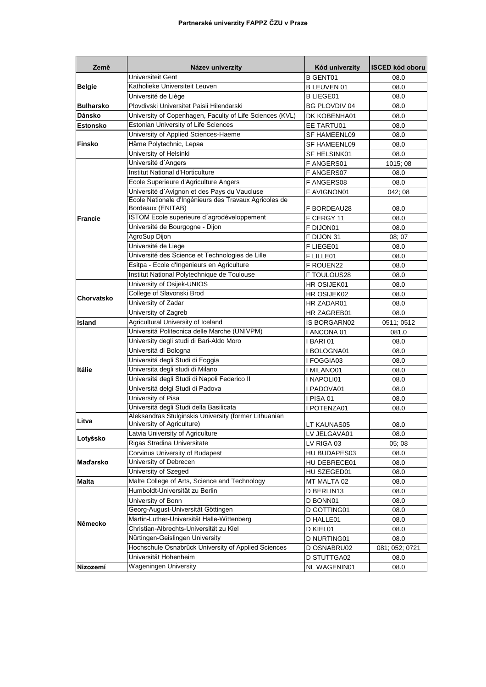| Země             | Název univerzity                                                                    | Kód univerzity             | <b>ISCED kód oboru</b> |
|------------------|-------------------------------------------------------------------------------------|----------------------------|------------------------|
|                  | Universiteit Gent                                                                   | <b>B GENT01</b>            | 08.0                   |
| <b>Belgie</b>    | Katholieke Universiteit Leuven                                                      | B LEUVEN 01                | 08.0                   |
|                  | Université de Liège                                                                 | <b>BLIEGE01</b>            | 08.0                   |
| <b>Bulharsko</b> | Plovdivski Universitet Paisii Hilendarski                                           | <b>BG PLOVDIV 04</b>       | 08.0                   |
| Dánsko           | University of Copenhagen, Faculty of Life Sciences (KVL)                            | DK KOBENHA01               | 08.0                   |
| <b>Estonsko</b>  | Estonian University of Life Sciences                                                | EE TARTU01                 | 08.0                   |
|                  | University of Applied Sciences-Haeme                                                | SF HAMEENL09               | 08.0                   |
| <b>Finsko</b>    | Häme Polytechnic, Lepaa                                                             | <b>SF HAMEENL09</b>        | 08.0                   |
|                  | University of Helsinki                                                              | SF HELSINK01               | 08.0                   |
|                  | Université d'Angers                                                                 | F ANGERS01                 | 1015; 08               |
|                  | <b>Institut National d'Horticulture</b>                                             | F ANGERS07                 | 08.0                   |
|                  | Ecole Superieure d'Agriculture Angers                                               | F ANGERS08                 | 08.0                   |
|                  | Université d'Avignon et des Pays du Vaucluse                                        | F AVIGNON01                | 042; 08                |
| <b>Francie</b>   | Ecole Nationale d'Ingénieurs des Travaux Agricoles de<br>Bordeaux (ENITAB)          | F BORDEAU28                | 08.0                   |
|                  | ISTOM Ecole superieure d'agrodéveloppement                                          | F CERGY 11                 | 08.0                   |
|                  | Université de Bourgogne - Dijon                                                     | F DIJON01                  | 08.0                   |
|                  | AgroSup Dijon                                                                       | F DIJON 31                 | 08:07                  |
|                  | Université de Liege                                                                 | F LIEGE01                  | 08.0                   |
|                  | Université des Science et Technologies de Lille                                     | F LILLE01                  | 08.0                   |
|                  | Esitpa - Ecole d'Ingenieurs en Agriculture                                          | F ROUEN22                  | 08.0                   |
|                  | Institut National Polytechnique de Toulouse                                         | F TOULOUS28                | 08.0                   |
|                  | University of Osijek-UNIOS                                                          | HR OSIJEK01                | 08.0                   |
|                  | College of Slavonski Brod                                                           | HR OSIJEK02                | 08.0                   |
| Chorvatsko       | University of Zadar                                                                 | HR ZADAR01                 | 08.0                   |
|                  | University of Zagreb                                                                | HR ZAGREB01                | 08.0                   |
| Island           | Agricultural University of Iceland                                                  | IS BORGARN02               | 0511; 0512             |
|                  | Universitá Politecnica delle Marche (UNIVPM)                                        | I ANCONA 01                | 081.0                  |
|                  | University degli studi di Bari-Aldo Moro                                            | I BARI 01                  | 08.0                   |
|                  | Universitá di Bologna                                                               | I BOLOGNA01                | 08.0                   |
|                  | Universitá degli Studi di Foggia                                                    | I FOGGIA03                 | 08.0                   |
| Itálie           | Universita degli studi di Milano                                                    | I MILANO01                 | 08.0                   |
|                  | Universitá degli Studi di Napoli Federico II                                        | I NAPOLI01                 | 08.0                   |
|                  | Universitá delgi Studi di Padova                                                    | I PADOVA01                 | 08.0                   |
|                  | University of Pisa                                                                  | I PISA 01                  | 08.0                   |
|                  | Universitá degli Studi della Basilicata                                             | I POTENZA01                | 08.0                   |
| Litva            | Aleksandras Stulginskis University (former Lithuanian<br>University of Agriculture) |                            |                        |
|                  | Latvia University of Agriculture                                                    | LT KAUNAS05                | 08.0                   |
| Lotyšsko         | Rigas Stradina Universitate                                                         | LV JELGAVA01               | 08.0                   |
| <b>Maďarsko</b>  | Corvinus University of Budapest                                                     | LV RIGA 03<br>HU BUDAPES03 | 05, 08<br>08.0         |
|                  | University of Debrecen                                                              | HU DEBRECE01               | 08.0                   |
|                  | University of Szeged                                                                | HU SZEGED01                | 08.0                   |
| <b>Malta</b>     | Malte College of Arts, Science and Technology                                       | MT MALTA 02                | 08.0                   |
| Německo          | Humboldt-Universität zu Berlin                                                      | D BERLIN13                 | 08.0                   |
|                  | University of Bonn                                                                  | D BONN01                   | 08.0                   |
|                  | Georg-August-Universität Göttingen                                                  | D GOTTING01                | 08.0                   |
|                  | Martin-Luther-Universität Halle-Wittenberg                                          | D HALLE01                  | 08.0                   |
|                  | Christian-Albrechts-Universität zu Kiel                                             | D KIEL01                   | 08.0                   |
|                  | Nürtingen-Geislingen University                                                     | D NURTING01                | 08.0                   |
|                  | Hochschule Osnabrück University of Applied Sciences                                 | D OSNABRU02                | 081; 052; 0721         |
|                  | Universität Hohenheim                                                               | D STUTTGA02                | 08.0                   |
| Nizozemí         | Wageningen University                                                               | NL WAGENIN01               | 08.0                   |